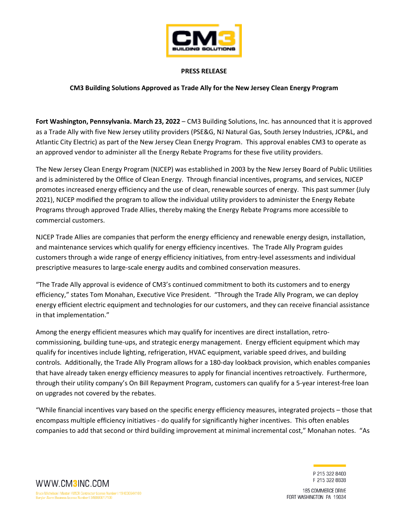

## **PRESS RELEASE**

## **CM3 Building Solutions Approved as Trade Ally for the New Jersey Clean Energy Program**

**Fort Washington, Pennsylvania. March 23, 2022** – CM3 Building Solutions, Inc. has announced that it is approved as a Trade Ally with five New Jersey utility providers (PSE&G, NJ Natural Gas, South Jersey Industries, JCP&L, and Atlantic City Electric) as part of the New Jersey Clean Energy Program. This approval enables CM3 to operate as an approved vendor to administer all the Energy Rebate Programs for these five utility providers.

The New Jersey Clean Energy Program (NJCEP) was established in 2003 by the New Jersey Board of Public Utilities and is administered by the Office of Clean Energy. Through financial incentives, programs, and services, NJCEP promotes increased energy efficiency and the use of clean, renewable sources of energy. This past summer (July 2021), NJCEP modified the program to allow the individual utility providers to administer the Energy Rebate Programs through approved Trade Allies, thereby making the Energy Rebate Programs more accessible to commercial customers.

NJCEP Trade Allies are companies that perform the energy efficiency and renewable energy design, installation, and maintenance services which qualify for energy efficiency incentives. The Trade Ally Program guides customers through a wide range of energy efficiency initiatives, from entry-level assessments and individual prescriptive measures to large-scale energy audits and combined conservation measures.

"The Trade Ally approval is evidence of CM3's continued commitment to both its customers and to energy efficiency," states Tom Monahan, Executive Vice President. "Through the Trade Ally Program, we can deploy energy efficient electric equipment and technologies for our customers, and they can receive financial assistance in that implementation."

Among the energy efficient measures which may qualify for incentives are direct installation, retrocommissioning, building tune-ups, and strategic energy management. Energy efficient equipment which may qualify for incentives include lighting, refrigeration, HVAC equipment, variable speed drives, and building controls. Additionally, the Trade Ally Program allows for a 180-day lookback provision, which enables companies that have already taken energy efficiency measures to apply for financial incentives retroactively. Furthermore, through their utility company's On Bill Repayment Program, customers can qualify for a 5-year interest-free loan on upgrades not covered by the rebates.

"While financial incentives vary based on the specific energy efficiency measures, integrated projects – those that encompass multiple efficiency initiatives - do qualify for significantly higher incentives. This often enables companies to add that second or third building improvement at minimal incremental cost," Monahan notes. "As

> P 215 322 8400 F 215 322 8838

185 COMMERCE DRIVE FORT WASHINGTON PA 19034